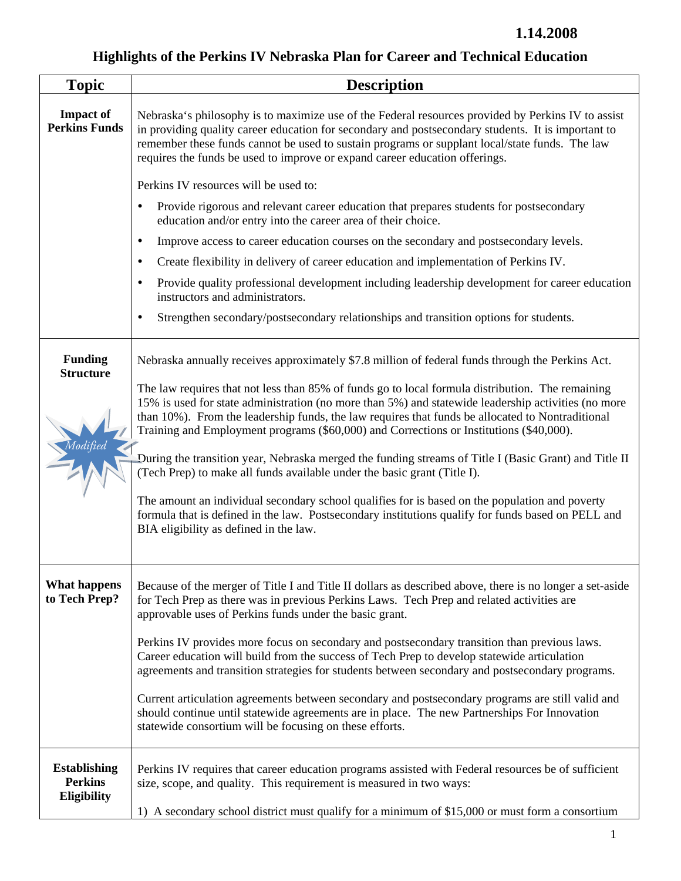## **Highlights of the Perkins IV Nebraska Plan for Career and Technical Education**

| <b>Topic</b>                                         | <b>Description</b>                                                                                                                                                                                                                                                                                                                                                                                     |
|------------------------------------------------------|--------------------------------------------------------------------------------------------------------------------------------------------------------------------------------------------------------------------------------------------------------------------------------------------------------------------------------------------------------------------------------------------------------|
| <b>Impact of</b><br><b>Perkins Funds</b>             | Nebraska's philosophy is to maximize use of the Federal resources provided by Perkins IV to assist<br>in providing quality career education for secondary and postsecondary students. It is important to<br>remember these funds cannot be used to sustain programs or supplant local/state funds. The law<br>requires the funds be used to improve or expand career education offerings.              |
|                                                      | Perkins IV resources will be used to:                                                                                                                                                                                                                                                                                                                                                                  |
|                                                      | Provide rigorous and relevant career education that prepares students for postsecondary<br>education and/or entry into the career area of their choice.                                                                                                                                                                                                                                                |
|                                                      | Improve access to career education courses on the secondary and postsecondary levels.<br>$\bullet$                                                                                                                                                                                                                                                                                                     |
|                                                      | Create flexibility in delivery of career education and implementation of Perkins IV.<br>٠                                                                                                                                                                                                                                                                                                              |
|                                                      | Provide quality professional development including leadership development for career education<br>instructors and administrators.                                                                                                                                                                                                                                                                      |
|                                                      | Strengthen secondary/postsecondary relationships and transition options for students.                                                                                                                                                                                                                                                                                                                  |
| <b>Funding</b><br><b>Structure</b>                   | Nebraska annually receives approximately \$7.8 million of federal funds through the Perkins Act.                                                                                                                                                                                                                                                                                                       |
|                                                      | The law requires that not less than 85% of funds go to local formula distribution. The remaining<br>15% is used for state administration (no more than 5%) and statewide leadership activities (no more<br>than 10%). From the leadership funds, the law requires that funds be allocated to Nontraditional<br>Training and Employment programs (\$60,000) and Corrections or Institutions (\$40,000). |
|                                                      | During the transition year, Nebraska merged the funding streams of Title I (Basic Grant) and Title II<br>(Tech Prep) to make all funds available under the basic grant (Title I).                                                                                                                                                                                                                      |
|                                                      | The amount an individual secondary school qualifies for is based on the population and poverty<br>formula that is defined in the law. Postsecondary institutions qualify for funds based on PELL and<br>BIA eligibility as defined in the law.                                                                                                                                                         |
| <b>What happens</b><br>to Tech Prep?                 | Because of the merger of Title I and Title II dollars as described above, there is no longer a set-aside<br>for Tech Prep as there was in previous Perkins Laws. Tech Prep and related activities are<br>approvable uses of Perkins funds under the basic grant.                                                                                                                                       |
|                                                      | Perkins IV provides more focus on secondary and postsecondary transition than previous laws.<br>Career education will build from the success of Tech Prep to develop statewide articulation<br>agreements and transition strategies for students between secondary and postsecondary programs.                                                                                                         |
|                                                      | Current articulation agreements between secondary and postsecondary programs are still valid and<br>should continue until statewide agreements are in place. The new Partnerships For Innovation<br>statewide consortium will be focusing on these efforts.                                                                                                                                            |
| <b>Establishing</b><br><b>Perkins</b><br>Eligibility | Perkins IV requires that career education programs assisted with Federal resources be of sufficient<br>size, scope, and quality. This requirement is measured in two ways:<br>1) A secondary school district must qualify for a minimum of \$15,000 or must form a consortium                                                                                                                          |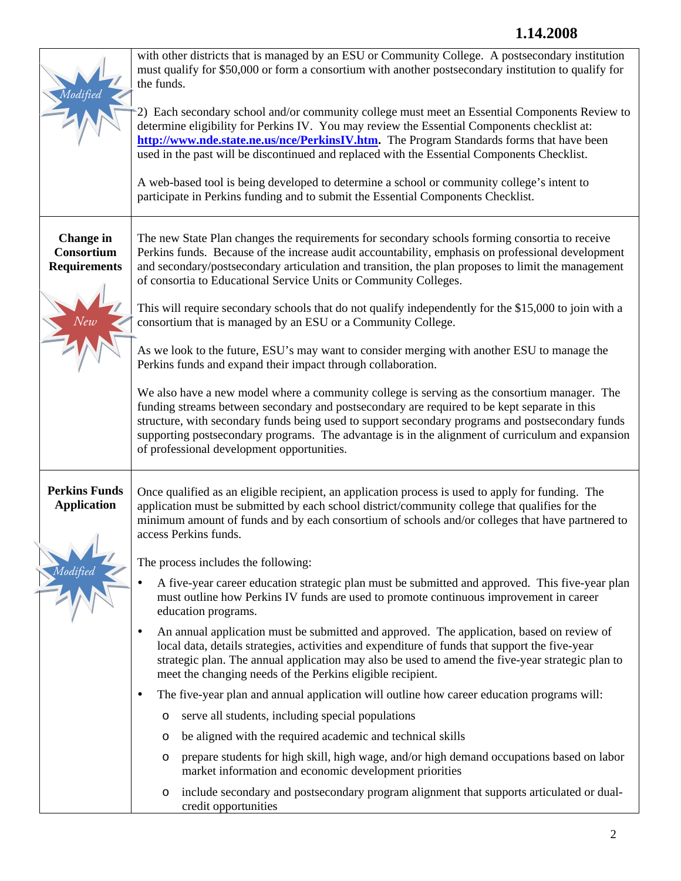|                                                       | with other districts that is managed by an ESU or Community College. A postsecondary institution<br>must qualify for \$50,000 or form a consortium with another postsecondary institution to qualify for<br>the funds.<br>2) Each secondary school and/or community college must meet an Essential Components Review to<br>determine eligibility for Perkins IV. You may review the Essential Components checklist at:<br>http://www.nde.state.ne.us/nce/PerkinsIV.htm. The Program Standards forms that have been<br>used in the past will be discontinued and replaced with the Essential Components Checklist.<br>A web-based tool is being developed to determine a school or community college's intent to<br>participate in Perkins funding and to submit the Essential Components Checklist.                                                                                                                                                                                                                                                                                                                                                                                                                                                                                                                                                                                                                                                                                       |
|-------------------------------------------------------|-------------------------------------------------------------------------------------------------------------------------------------------------------------------------------------------------------------------------------------------------------------------------------------------------------------------------------------------------------------------------------------------------------------------------------------------------------------------------------------------------------------------------------------------------------------------------------------------------------------------------------------------------------------------------------------------------------------------------------------------------------------------------------------------------------------------------------------------------------------------------------------------------------------------------------------------------------------------------------------------------------------------------------------------------------------------------------------------------------------------------------------------------------------------------------------------------------------------------------------------------------------------------------------------------------------------------------------------------------------------------------------------------------------------------------------------------------------------------------------------|
| <b>Change</b> in<br>Consortium<br><b>Requirements</b> | The new State Plan changes the requirements for secondary schools forming consortia to receive<br>Perkins funds. Because of the increase audit accountability, emphasis on professional development<br>and secondary/postsecondary articulation and transition, the plan proposes to limit the management<br>of consortia to Educational Service Units or Community Colleges.<br>This will require secondary schools that do not qualify independently for the \$15,000 to join with a<br>consortium that is managed by an ESU or a Community College.<br>As we look to the future, ESU's may want to consider merging with another ESU to manage the<br>Perkins funds and expand their impact through collaboration.<br>We also have a new model where a community college is serving as the consortium manager. The<br>funding streams between secondary and postsecondary are required to be kept separate in this<br>structure, with secondary funds being used to support secondary programs and postsecondary funds<br>supporting postsecondary programs. The advantage is in the alignment of curriculum and expansion<br>of professional development opportunities.                                                                                                                                                                                                                                                                                                               |
| <b>Perkins Funds</b><br><b>Application</b>            | Once qualified as an eligible recipient, an application process is used to apply for funding. The<br>application must be submitted by each school district/community college that qualifies for the<br>minimum amount of funds and by each consortium of schools and/or colleges that have partnered to<br>access Perkins funds.<br>The process includes the following:<br>A five-year career education strategic plan must be submitted and approved. This five-year plan<br>must outline how Perkins IV funds are used to promote continuous improvement in career<br>education programs.<br>An annual application must be submitted and approved. The application, based on review of<br>local data, details strategies, activities and expenditure of funds that support the five-year<br>strategic plan. The annual application may also be used to amend the five-year strategic plan to<br>meet the changing needs of the Perkins eligible recipient.<br>The five-year plan and annual application will outline how career education programs will:<br>$\bullet$<br>serve all students, including special populations<br>O<br>be aligned with the required academic and technical skills<br>O<br>prepare students for high skill, high wage, and/or high demand occupations based on labor<br>O<br>market information and economic development priorities<br>include secondary and postsecondary program alignment that supports articulated or dual-<br>O<br>credit opportunities |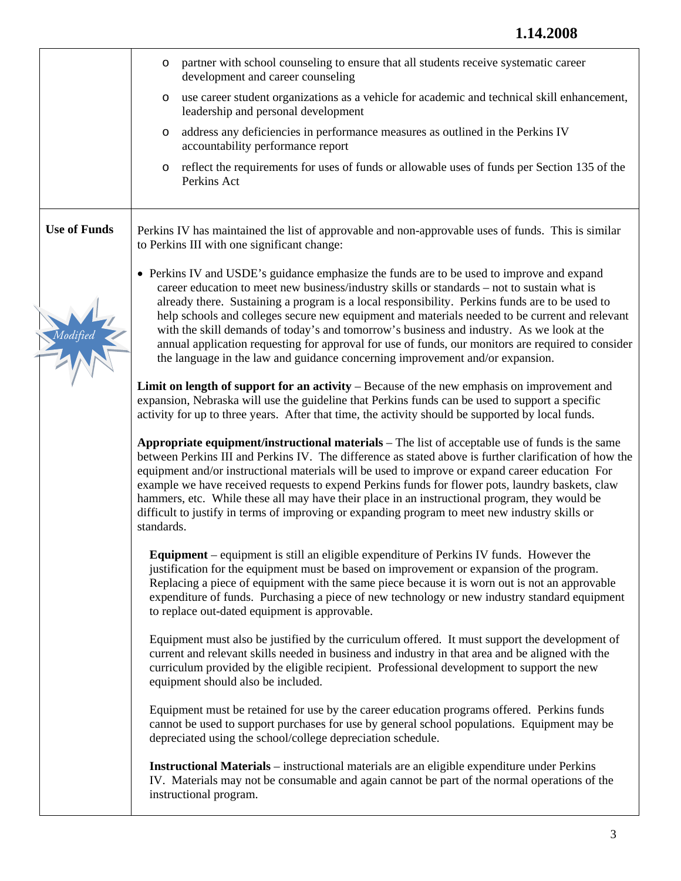|                     | partner with school counseling to ensure that all students receive systematic career<br>$\circ$<br>development and career counseling                                                                                                                                                                                                                                                                                                                                                                                                                                                                                                                                             |
|---------------------|----------------------------------------------------------------------------------------------------------------------------------------------------------------------------------------------------------------------------------------------------------------------------------------------------------------------------------------------------------------------------------------------------------------------------------------------------------------------------------------------------------------------------------------------------------------------------------------------------------------------------------------------------------------------------------|
|                     | use career student organizations as a vehicle for academic and technical skill enhancement,<br>$\circ$<br>leadership and personal development                                                                                                                                                                                                                                                                                                                                                                                                                                                                                                                                    |
|                     | address any deficiencies in performance measures as outlined in the Perkins IV<br>O<br>accountability performance report                                                                                                                                                                                                                                                                                                                                                                                                                                                                                                                                                         |
|                     | reflect the requirements for uses of funds or allowable uses of funds per Section 135 of the<br>$\circ$<br>Perkins Act                                                                                                                                                                                                                                                                                                                                                                                                                                                                                                                                                           |
| <b>Use of Funds</b> | Perkins IV has maintained the list of approvable and non-approvable uses of funds. This is similar<br>to Perkins III with one significant change:                                                                                                                                                                                                                                                                                                                                                                                                                                                                                                                                |
|                     | • Perkins IV and USDE's guidance emphasize the funds are to be used to improve and expand<br>career education to meet new business/industry skills or standards – not to sustain what is<br>already there. Sustaining a program is a local responsibility. Perkins funds are to be used to<br>help schools and colleges secure new equipment and materials needed to be current and relevant<br>with the skill demands of today's and tomorrow's business and industry. As we look at the<br>annual application requesting for approval for use of funds, our monitors are required to consider<br>the language in the law and guidance concerning improvement and/or expansion. |
|                     | Limit on length of support for an activity – Because of the new emphasis on improvement and<br>expansion, Nebraska will use the guideline that Perkins funds can be used to support a specific<br>activity for up to three years. After that time, the activity should be supported by local funds.                                                                                                                                                                                                                                                                                                                                                                              |
|                     | Appropriate equipment/instructional materials – The list of acceptable use of funds is the same<br>between Perkins III and Perkins IV. The difference as stated above is further clarification of how the<br>equipment and/or instructional materials will be used to improve or expand career education For<br>example we have received requests to expend Perkins funds for flower pots, laundry baskets, claw<br>hammers, etc. While these all may have their place in an instructional program, they would be<br>difficult to justify in terms of improving or expanding program to meet new industry skills or<br>standards.                                                |
|                     | <b>Equipment</b> – equipment is still an eligible expenditure of Perkins IV funds. However the<br>justification for the equipment must be based on improvement or expansion of the program.<br>Replacing a piece of equipment with the same piece because it is worn out is not an approvable<br>expenditure of funds. Purchasing a piece of new technology or new industry standard equipment<br>to replace out-dated equipment is approvable.                                                                                                                                                                                                                                  |
|                     | Equipment must also be justified by the curriculum offered. It must support the development of<br>current and relevant skills needed in business and industry in that area and be aligned with the<br>curriculum provided by the eligible recipient. Professional development to support the new<br>equipment should also be included.                                                                                                                                                                                                                                                                                                                                           |
|                     | Equipment must be retained for use by the career education programs offered. Perkins funds<br>cannot be used to support purchases for use by general school populations. Equipment may be<br>depreciated using the school/college depreciation schedule.                                                                                                                                                                                                                                                                                                                                                                                                                         |
|                     | <b>Instructional Materials</b> – instructional materials are an eligible expenditure under Perkins<br>IV. Materials may not be consumable and again cannot be part of the normal operations of the<br>instructional program.                                                                                                                                                                                                                                                                                                                                                                                                                                                     |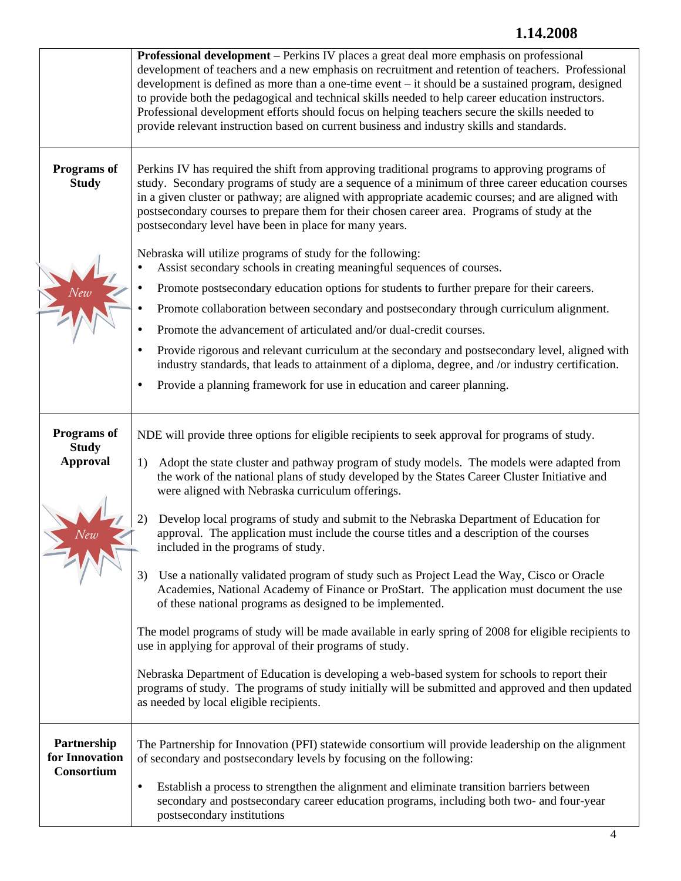## **1.14.2008**

|                                                | <b>Professional development</b> – Perkins IV places a great deal more emphasis on professional<br>development of teachers and a new emphasis on recruitment and retention of teachers. Professional<br>development is defined as more than a one-time event - it should be a sustained program, designed<br>to provide both the pedagogical and technical skills needed to help career education instructors.<br>Professional development efforts should focus on helping teachers secure the skills needed to<br>provide relevant instruction based on current business and industry skills and standards.                                                                                                                                                                                                                                                                                                                                                                                                                                                                                                                                                                                                                                                             |
|------------------------------------------------|-------------------------------------------------------------------------------------------------------------------------------------------------------------------------------------------------------------------------------------------------------------------------------------------------------------------------------------------------------------------------------------------------------------------------------------------------------------------------------------------------------------------------------------------------------------------------------------------------------------------------------------------------------------------------------------------------------------------------------------------------------------------------------------------------------------------------------------------------------------------------------------------------------------------------------------------------------------------------------------------------------------------------------------------------------------------------------------------------------------------------------------------------------------------------------------------------------------------------------------------------------------------------|
| Programs of<br><b>Study</b>                    | Perkins IV has required the shift from approving traditional programs to approving programs of<br>study. Secondary programs of study are a sequence of a minimum of three career education courses<br>in a given cluster or pathway; are aligned with appropriate academic courses; and are aligned with<br>postsecondary courses to prepare them for their chosen career area. Programs of study at the<br>postsecondary level have been in place for many years.                                                                                                                                                                                                                                                                                                                                                                                                                                                                                                                                                                                                                                                                                                                                                                                                      |
|                                                | Nebraska will utilize programs of study for the following:<br>Assist secondary schools in creating meaningful sequences of courses.<br>Promote postsecondary education options for students to further prepare for their careers.<br>Promote collaboration between secondary and postsecondary through curriculum alignment.<br>Promote the advancement of articulated and/or dual-credit courses.<br>Provide rigorous and relevant curriculum at the secondary and postsecondary level, aligned with<br>٠<br>industry standards, that leads to attainment of a diploma, degree, and /or industry certification.<br>Provide a planning framework for use in education and career planning.<br>$\bullet$                                                                                                                                                                                                                                                                                                                                                                                                                                                                                                                                                                 |
| Programs of<br><b>Study</b><br><b>Approval</b> | NDE will provide three options for eligible recipients to seek approval for programs of study.<br>Adopt the state cluster and pathway program of study models. The models were adapted from<br>1)<br>the work of the national plans of study developed by the States Career Cluster Initiative and<br>were aligned with Nebraska curriculum offerings.<br>Develop local programs of study and submit to the Nebraska Department of Education for<br>approval. The application must include the course titles and a description of the courses<br>included in the programs of study.<br>Use a nationally validated program of study such as Project Lead the Way, Cisco or Oracle<br>3)<br>Academies, National Academy of Finance or ProStart. The application must document the use<br>of these national programs as designed to be implemented.<br>The model programs of study will be made available in early spring of 2008 for eligible recipients to<br>use in applying for approval of their programs of study.<br>Nebraska Department of Education is developing a web-based system for schools to report their<br>programs of study. The programs of study initially will be submitted and approved and then updated<br>as needed by local eligible recipients. |
| Partnership<br>for Innovation<br>Consortium    | The Partnership for Innovation (PFI) statewide consortium will provide leadership on the alignment<br>of secondary and postsecondary levels by focusing on the following:<br>Establish a process to strengthen the alignment and eliminate transition barriers between<br>$\bullet$<br>secondary and postsecondary career education programs, including both two- and four-year<br>postsecondary institutions                                                                                                                                                                                                                                                                                                                                                                                                                                                                                                                                                                                                                                                                                                                                                                                                                                                           |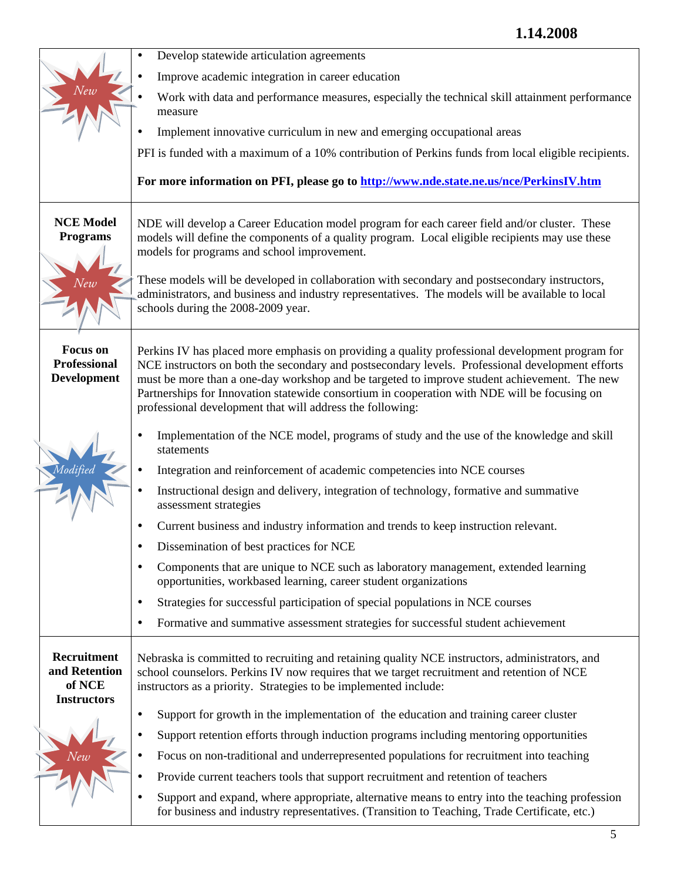|                                                              | Develop statewide articulation agreements                                                                                                                                                                                                                                                                                                                                                                                                                        |
|--------------------------------------------------------------|------------------------------------------------------------------------------------------------------------------------------------------------------------------------------------------------------------------------------------------------------------------------------------------------------------------------------------------------------------------------------------------------------------------------------------------------------------------|
|                                                              | Improve academic integration in career education                                                                                                                                                                                                                                                                                                                                                                                                                 |
|                                                              | Work with data and performance measures, especially the technical skill attainment performance<br>measure                                                                                                                                                                                                                                                                                                                                                        |
|                                                              | Implement innovative curriculum in new and emerging occupational areas                                                                                                                                                                                                                                                                                                                                                                                           |
|                                                              | PFI is funded with a maximum of a 10% contribution of Perkins funds from local eligible recipients.                                                                                                                                                                                                                                                                                                                                                              |
|                                                              |                                                                                                                                                                                                                                                                                                                                                                                                                                                                  |
|                                                              | For more information on PFI, please go to http://www.nde.state.ne.us/nce/PerkinsIV.htm                                                                                                                                                                                                                                                                                                                                                                           |
| <b>NCE Model</b><br><b>Programs</b>                          | NDE will develop a Career Education model program for each career field and/or cluster. These<br>models will define the components of a quality program. Local eligible recipients may use these<br>models for programs and school improvement.                                                                                                                                                                                                                  |
| Vew                                                          | These models will be developed in collaboration with secondary and postsecondary instructors,<br>administrators, and business and industry representatives. The models will be available to local<br>schools during the 2008-2009 year.                                                                                                                                                                                                                          |
| <b>Focus</b> on<br><b>Professional</b><br><b>Development</b> | Perkins IV has placed more emphasis on providing a quality professional development program for<br>NCE instructors on both the secondary and postsecondary levels. Professional development efforts<br>must be more than a one-day workshop and be targeted to improve student achievement. The new<br>Partnerships for Innovation statewide consortium in cooperation with NDE will be focusing on<br>professional development that will address the following: |
|                                                              | Implementation of the NCE model, programs of study and the use of the knowledge and skill<br>statements                                                                                                                                                                                                                                                                                                                                                          |
|                                                              | Integration and reinforcement of academic competencies into NCE courses                                                                                                                                                                                                                                                                                                                                                                                          |
|                                                              | Instructional design and delivery, integration of technology, formative and summative<br>assessment strategies                                                                                                                                                                                                                                                                                                                                                   |
|                                                              | Current business and industry information and trends to keep instruction relevant.<br>٠                                                                                                                                                                                                                                                                                                                                                                          |
|                                                              | Dissemination of best practices for NCE                                                                                                                                                                                                                                                                                                                                                                                                                          |
|                                                              | Components that are unique to NCE such as laboratory management, extended learning<br>$\bullet$<br>opportunities, workbased learning, career student organizations                                                                                                                                                                                                                                                                                               |
|                                                              | Strategies for successful participation of special populations in NCE courses<br>$\bullet$                                                                                                                                                                                                                                                                                                                                                                       |
|                                                              | Formative and summative assessment strategies for successful student achievement<br>٠                                                                                                                                                                                                                                                                                                                                                                            |
| Recruitment<br>and Retention<br>of NCE<br><b>Instructors</b> | Nebraska is committed to recruiting and retaining quality NCE instructors, administrators, and<br>school counselors. Perkins IV now requires that we target recruitment and retention of NCE<br>instructors as a priority. Strategies to be implemented include:                                                                                                                                                                                                 |
|                                                              | Support for growth in the implementation of the education and training career cluster<br>$\bullet$                                                                                                                                                                                                                                                                                                                                                               |
|                                                              | Support retention efforts through induction programs including mentoring opportunities<br>$\bullet$                                                                                                                                                                                                                                                                                                                                                              |
|                                                              | Focus on non-traditional and underrepresented populations for recruitment into teaching<br>٠                                                                                                                                                                                                                                                                                                                                                                     |
|                                                              | Provide current teachers tools that support recruitment and retention of teachers<br>٠                                                                                                                                                                                                                                                                                                                                                                           |
|                                                              | Support and expand, where appropriate, alternative means to entry into the teaching profession<br>$\bullet$<br>for business and industry representatives. (Transition to Teaching, Trade Certificate, etc.)                                                                                                                                                                                                                                                      |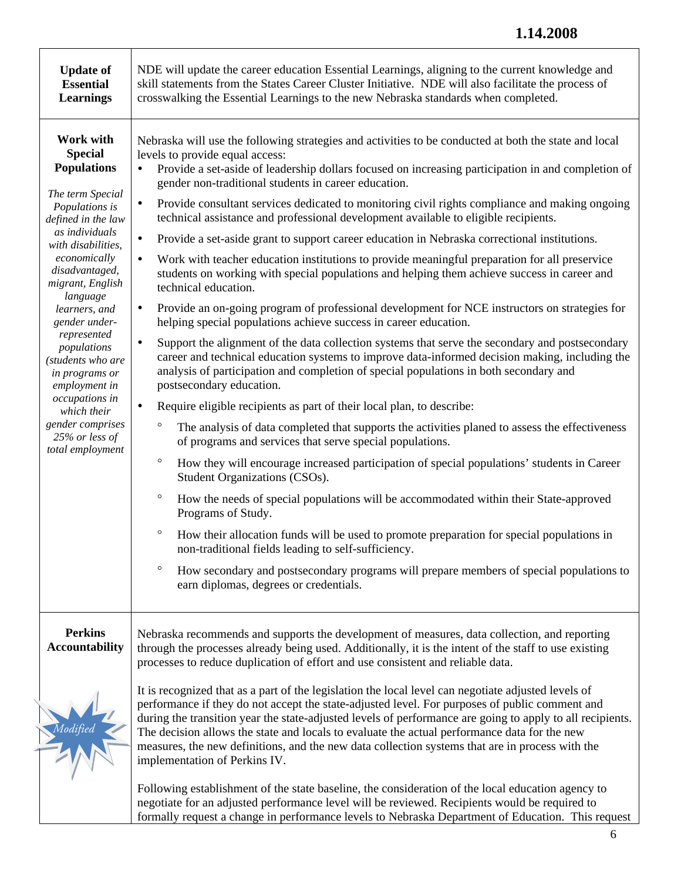## **1.14.2008**

| <b>Update of</b><br><b>Essential</b><br><b>Learnings</b>                                                                                                                                                                                                                                                                                                                                                                                   | NDE will update the career education Essential Learnings, aligning to the current knowledge and<br>skill statements from the States Career Cluster Initiative. NDE will also facilitate the process of<br>crosswalking the Essential Learnings to the new Nebraska standards when completed.                                                                                                                                                                                                                                                                                                                                                                                                                                                                                                                                                                                                                                                                                                                                                                                                                                                                                                                                                                                                                                                                                                                                                                                                                                                                                                                                                                                                                                                                                                                                                                                                                                                                                                                                                                                                                                                                                                                                   |
|--------------------------------------------------------------------------------------------------------------------------------------------------------------------------------------------------------------------------------------------------------------------------------------------------------------------------------------------------------------------------------------------------------------------------------------------|--------------------------------------------------------------------------------------------------------------------------------------------------------------------------------------------------------------------------------------------------------------------------------------------------------------------------------------------------------------------------------------------------------------------------------------------------------------------------------------------------------------------------------------------------------------------------------------------------------------------------------------------------------------------------------------------------------------------------------------------------------------------------------------------------------------------------------------------------------------------------------------------------------------------------------------------------------------------------------------------------------------------------------------------------------------------------------------------------------------------------------------------------------------------------------------------------------------------------------------------------------------------------------------------------------------------------------------------------------------------------------------------------------------------------------------------------------------------------------------------------------------------------------------------------------------------------------------------------------------------------------------------------------------------------------------------------------------------------------------------------------------------------------------------------------------------------------------------------------------------------------------------------------------------------------------------------------------------------------------------------------------------------------------------------------------------------------------------------------------------------------------------------------------------------------------------------------------------------------|
| Work with<br><b>Special</b><br><b>Populations</b><br>The term Special<br>Populations is<br>defined in the law<br>as individuals<br>with disabilities,<br>economically<br>disadvantaged,<br>migrant, English<br>language<br>learners, and<br>gender under-<br>represented<br>populations<br>(students who are<br>in programs or<br>employment in<br>occupations in<br>which their<br>gender comprises<br>25% or less of<br>total employment | Nebraska will use the following strategies and activities to be conducted at both the state and local<br>levels to provide equal access:<br>Provide a set-aside of leadership dollars focused on increasing participation in and completion of<br>٠<br>gender non-traditional students in career education.<br>Provide consultant services dedicated to monitoring civil rights compliance and making ongoing<br>$\bullet$<br>technical assistance and professional development available to eligible recipients.<br>Provide a set-aside grant to support career education in Nebraska correctional institutions.<br>٠<br>Work with teacher education institutions to provide meaningful preparation for all preservice<br>$\bullet$<br>students on working with special populations and helping them achieve success in career and<br>technical education.<br>Provide an on-going program of professional development for NCE instructors on strategies for<br>٠<br>helping special populations achieve success in career education.<br>Support the alignment of the data collection systems that serve the secondary and postsecondary<br>$\bullet$<br>career and technical education systems to improve data-informed decision making, including the<br>analysis of participation and completion of special populations in both secondary and<br>postsecondary education.<br>Require eligible recipients as part of their local plan, to describe:<br>$\bullet$<br>$\circ$<br>The analysis of data completed that supports the activities planed to assess the effectiveness<br>of programs and services that serve special populations.<br>$\circ$<br>How they will encourage increased participation of special populations' students in Career<br>Student Organizations (CSOs).<br>$\circ$<br>How the needs of special populations will be accommodated within their State-approved<br>Programs of Study.<br>$\circ$<br>How their allocation funds will be used to promote preparation for special populations in<br>non-traditional fields leading to self-sufficiency.<br>$\circ$<br>How secondary and postsecondary programs will prepare members of special populations to<br>earn diplomas, degrees or credentials. |
| <b>Perkins</b><br><b>Accountability</b>                                                                                                                                                                                                                                                                                                                                                                                                    | Nebraska recommends and supports the development of measures, data collection, and reporting<br>through the processes already being used. Additionally, it is the intent of the staff to use existing<br>processes to reduce duplication of effort and use consistent and reliable data.<br>It is recognized that as a part of the legislation the local level can negotiate adjusted levels of                                                                                                                                                                                                                                                                                                                                                                                                                                                                                                                                                                                                                                                                                                                                                                                                                                                                                                                                                                                                                                                                                                                                                                                                                                                                                                                                                                                                                                                                                                                                                                                                                                                                                                                                                                                                                                |
|                                                                                                                                                                                                                                                                                                                                                                                                                                            | performance if they do not accept the state-adjusted level. For purposes of public comment and<br>during the transition year the state-adjusted levels of performance are going to apply to all recipients.<br>The decision allows the state and locals to evaluate the actual performance data for the new<br>measures, the new definitions, and the new data collection systems that are in process with the<br>implementation of Perkins IV.                                                                                                                                                                                                                                                                                                                                                                                                                                                                                                                                                                                                                                                                                                                                                                                                                                                                                                                                                                                                                                                                                                                                                                                                                                                                                                                                                                                                                                                                                                                                                                                                                                                                                                                                                                                |
|                                                                                                                                                                                                                                                                                                                                                                                                                                            | Following establishment of the state baseline, the consideration of the local education agency to<br>negotiate for an adjusted performance level will be reviewed. Recipients would be required to<br>formally request a change in performance levels to Nebraska Department of Education. This request                                                                                                                                                                                                                                                                                                                                                                                                                                                                                                                                                                                                                                                                                                                                                                                                                                                                                                                                                                                                                                                                                                                                                                                                                                                                                                                                                                                                                                                                                                                                                                                                                                                                                                                                                                                                                                                                                                                        |

 $\overline{\Gamma}$